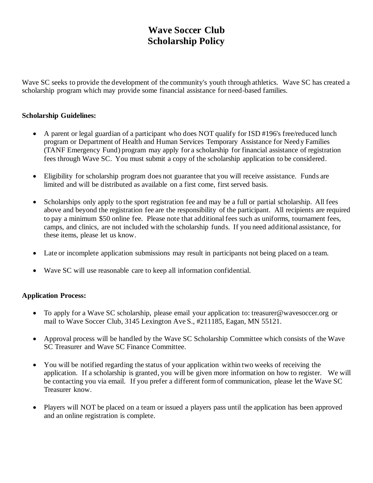## **Wave Soccer Club Scholarship Policy**

Wave SC seeks to provide the development of the community's youth through athletics. Wave SC has created a scholarship program which may provide some financial assistance for need-based families.

## **Scholarship Guidelines:**

- A parent or legal guardian of a participant who does NOT qualify for ISD #196's free/reduced lunch program or Department of Health and Human Services Temporary Assistance for Need y Families (TANF Emergency Fund) program may apply for a scholarship for financial assistance of registration fees through Wave SC. You must submit a copy of the scholarship application to be considered.
- Eligibility for scholarship program does not guarantee that you will receive assistance. Funds are limited and will be distributed as available on a first come, first served basis.
- Scholarships only apply to the sport registration fee and may be a full or partial scholarship. All fees above and beyond the registration fee are the responsibility of the participant. All recipients are required to pay a minimum \$50 online fee. Please note that additional fees such as uniforms, tournament fees, camps, and clinics, are not included with the scholarship funds. If you need additional assistance, for these items, please let us know.
- Late or incomplete application submissions may result in participants not being placed on a team.
- Wave SC will use reasonable care to keep all information confidential.

## **Application Process:**

- To apply for a Wave SC scholarship, please email your application to: treasurer@wavesoccer.org or mail to Wave Soccer Club, 3145 Lexington Ave S., #211185, Eagan, MN 55121.
- Approval process will be handled by the Wave SC Scholarship Committee which consists of the Wave SC Treasurer and Wave SC Finance Committee.
- You will be notified regarding the status of your application within two weeks of receiving the application. If a scholarship is granted, you will be given more information on how to register. We will be contacting you via email. If you prefer a different form of communication, please let the Wave SC Treasurer know.
- Players will NOT be placed on a team or issued a players pass until the application has been approved and an online registration is complete.